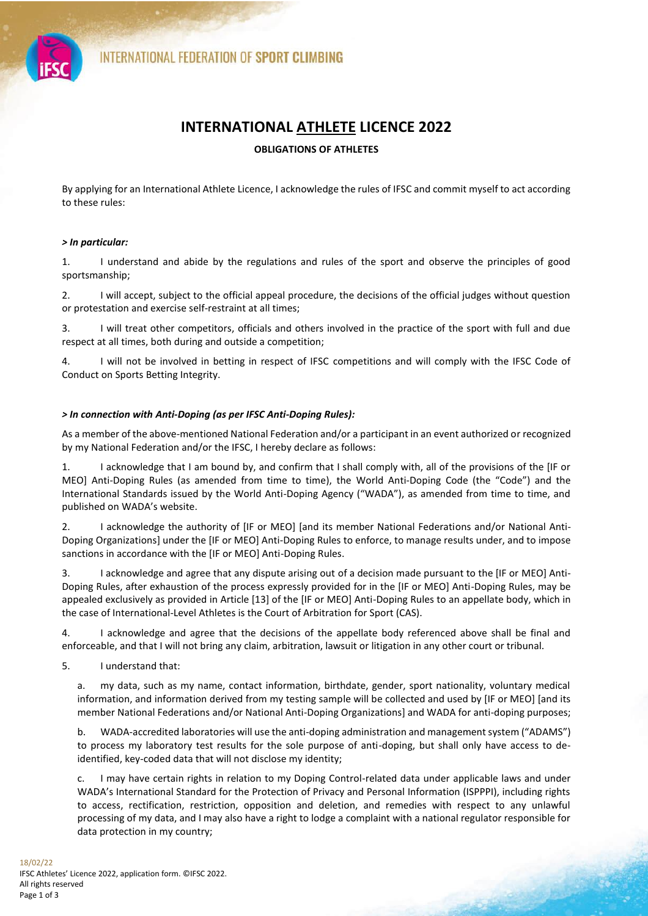

# **INTERNATIONAL ATHLETE LICENCE 2022**

## **OBLIGATIONS OF ATHLETES**

By applying for an International Athlete Licence, I acknowledge the rules of IFSC and commit myself to act according to these rules:

## *> In particular:*

1. I understand and abide by the regulations and rules of the sport and observe the principles of good sportsmanship;

2. I will accept, subject to the official appeal procedure, the decisions of the official judges without question or protestation and exercise self-restraint at all times;

3. I will treat other competitors, officials and others involved in the practice of the sport with full and due respect at all times, both during and outside a competition;

4. I will not be involved in betting in respect of IFSC competitions and will comply with the IFSC Code of Conduct on Sports Betting Integrity.

## *> In connection with Anti-Doping (as per IFSC Anti-Doping Rules):*

As a member of the above-mentioned National Federation and/or a participant in an event authorized or recognized by my National Federation and/or the IFSC, I hereby declare as follows:

1. I acknowledge that I am bound by, and confirm that I shall comply with, all of the provisions of the [IF or MEO] Anti-Doping Rules (as amended from time to time), the World Anti-Doping Code (the "Code") and the International Standards issued by the World Anti-Doping Agency ("WADA"), as amended from time to time, and published on WADA's website.

2. I acknowledge the authority of [IF or MEO] [and its member National Federations and/or National Anti-Doping Organizations] under the [IF or MEO] Anti-Doping Rules to enforce, to manage results under, and to impose sanctions in accordance with the [IF or MEO] Anti-Doping Rules.

3. I acknowledge and agree that any dispute arising out of a decision made pursuant to the [IF or MEO] Anti-Doping Rules, after exhaustion of the process expressly provided for in the [IF or MEO] Anti-Doping Rules, may be appealed exclusively as provided in Article [13] of the [IF or MEO] Anti-Doping Rules to an appellate body, which in the case of International-Level Athletes is the Court of Arbitration for Sport (CAS).

4. I acknowledge and agree that the decisions of the appellate body referenced above shall be final and enforceable, and that I will not bring any claim, arbitration, lawsuit or litigation in any other court or tribunal.

5. I understand that:

a. my data, such as my name, contact information, birthdate, gender, sport nationality, voluntary medical information, and information derived from my testing sample will be collected and used by [IF or MEO] [and its member National Federations and/or National Anti-Doping Organizations] and WADA for anti-doping purposes;

b. WADA-accredited laboratories will use the anti-doping administration and management system ("ADAMS") to process my laboratory test results for the sole purpose of anti-doping, but shall only have access to deidentified, key-coded data that will not disclose my identity;

c. I may have certain rights in relation to my Doping Control-related data under applicable laws and under WADA's International Standard for the Protection of Privacy and Personal Information (ISPPPI), including rights to access, rectification, restriction, opposition and deletion, and remedies with respect to any unlawful processing of my data, and I may also have a right to lodge a complaint with a national regulator responsible for data protection in my country;

فلتشرف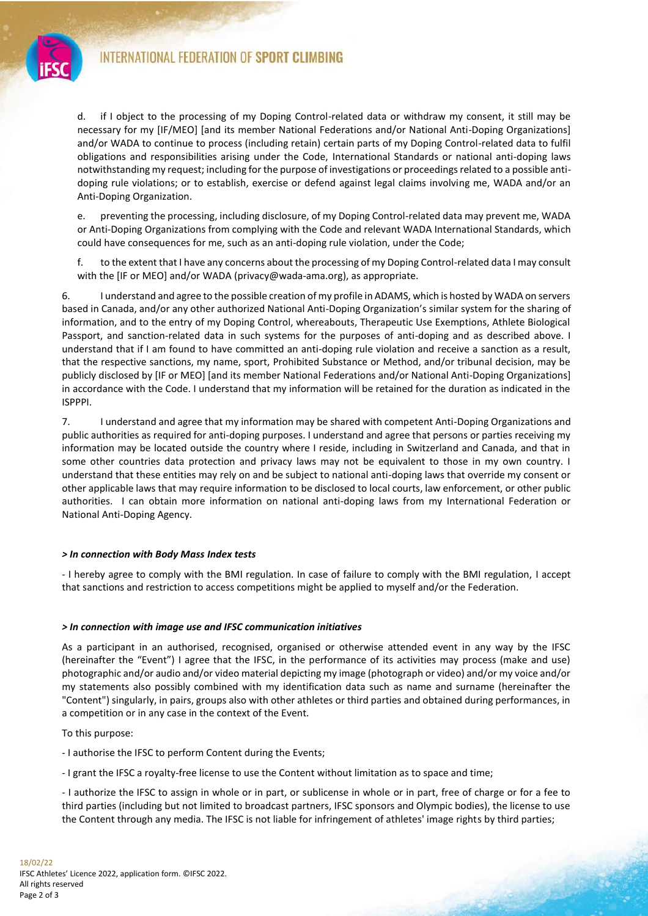

d. if I object to the processing of my Doping Control-related data or withdraw my consent, it still may be necessary for my [IF/MEO] [and its member National Federations and/or National Anti-Doping Organizations] and/or WADA to continue to process (including retain) certain parts of my Doping Control-related data to fulfil obligations and responsibilities arising under the Code, International Standards or national anti-doping laws notwithstanding my request; including for the purpose of investigations or proceedings related to a possible antidoping rule violations; or to establish, exercise or defend against legal claims involving me, WADA and/or an Anti-Doping Organization.

e. preventing the processing, including disclosure, of my Doping Control-related data may prevent me, WADA or Anti-Doping Organizations from complying with the Code and relevant WADA International Standards, which could have consequences for me, such as an anti-doping rule violation, under the Code;

f. to the extent that I have any concerns about the processing of my Doping Control-related data I may consult with the [IF or MEO] and/or WADA (privacy@wada-ama.org), as appropriate.

6. I understand and agree to the possible creation of my profile in ADAMS, which is hosted by WADA on servers based in Canada, and/or any other authorized National Anti-Doping Organization's similar system for the sharing of information, and to the entry of my Doping Control, whereabouts, Therapeutic Use Exemptions, Athlete Biological Passport, and sanction-related data in such systems for the purposes of anti-doping and as described above. I understand that if I am found to have committed an anti-doping rule violation and receive a sanction as a result, that the respective sanctions, my name, sport, Prohibited Substance or Method, and/or tribunal decision, may be publicly disclosed by [IF or MEO] [and its member National Federations and/or National Anti-Doping Organizations] in accordance with the Code. I understand that my information will be retained for the duration as indicated in the ISPPPI.

7. I understand and agree that my information may be shared with competent Anti-Doping Organizations and public authorities as required for anti-doping purposes. I understand and agree that persons or parties receiving my information may be located outside the country where I reside, including in Switzerland and Canada, and that in some other countries data protection and privacy laws may not be equivalent to those in my own country. I understand that these entities may rely on and be subject to national anti-doping laws that override my consent or other applicable laws that may require information to be disclosed to local courts, law enforcement, or other public authorities. I can obtain more information on national anti-doping laws from my International Federation or National Anti-Doping Agency.

#### *> In connection with Body Mass Index tests*

- I hereby agree to comply with the BMI regulation. In case of failure to comply with the BMI regulation, I accept that sanctions and restriction to access competitions might be applied to myself and/or the Federation.

#### *> In connection with image use and IFSC communication initiatives*

As a participant in an authorised, recognised, organised or otherwise attended event in any way by the IFSC (hereinafter the "Event") I agree that the IFSC, in the performance of its activities may process (make and use) photographic and/or audio and/or video material depicting my image (photograph or video) and/or my voice and/or my statements also possibly combined with my identification data such as name and surname (hereinafter the "Content") singularly, in pairs, groups also with other athletes or third parties and obtained during performances, in a competition or in any case in the context of the Event.

To this purpose:

- I authorise the IFSC to perform Content during the Events;

- I grant the IFSC a royalty-free license to use the Content without limitation as to space and time;

- I authorize the IFSC to assign in whole or in part, or sublicense in whole or in part, free of charge or for a fee to third parties (including but not limited to broadcast partners, IFSC sponsors and Olympic bodies), the license to use the Content through any media. The IFSC is not liable for infringement of athletes' image rights by third parties;

فتعادي